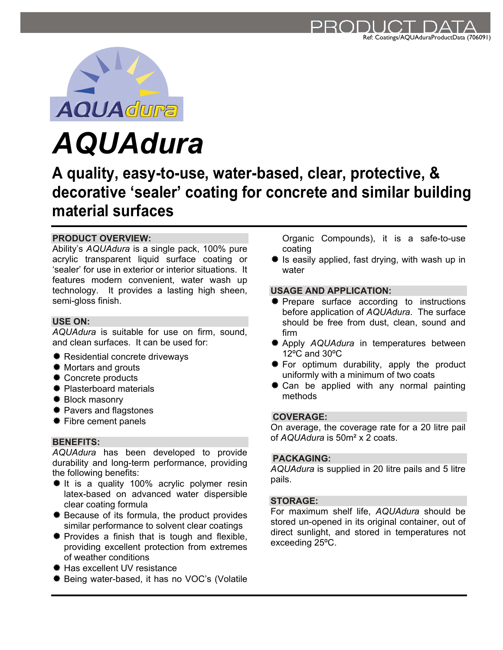



# *AQUAdura*

**A quality, easy-to-use, water-based, clear, protective, & decorative 'sealer' coating for concrete and similar building material surfaces** 

### **PRODUCT OVERVIEW:**

Ability's *AQUAdura* is a single pack, 100% pure acrylic transparent liquid surface coating or 'sealer' for use in exterior or interior situations. It features modern convenient, water wash up technology. It provides a lasting high sheen, semi-gloss finish.

#### **USE ON:**

*AQUAdura* is suitable for use on firm, sound, and clean surfaces. It can be used for:

- $*$  **Residential concrete driveways**
- $*$  **Mortars and grouts**
- $*$  **Concrete products**
- $#$  **Plasterboard materials**
- $*$  **Block masonry**
- $*$  **Pavers and flagstones**
- Fibre cement panels

#### **BENEFITS:**

*AQUAdura* has been developed to provide durability and long-term performance, providing the following benefits:

- t It is a quality 100% acrylic polymer resin latex-based on advanced water dispersible clear coating formula
- **\*** Because of its formula, the product provides similar performance to solvent clear coatings
- **\*** Provides a finish that is tough and flexible, providing excellent protection from extremes of weather conditions
- $#$  **Has excellent UV resistance**
- $*$  **Being water-based, it has no VOC's (Volatile**

Organic Compounds), it is a safe-to-use coating

 $*$  Is easily applied, fast drying, with wash up in water

#### **USAGE AND APPLICATION:**

- $*$  **Prepare surface according to instructions** before application of *AQUAdura*. The surface should be free from dust, clean, sound and firm
- Apply *AQUAdura* in temperatures between 12ºC and 30ºC
- For optimum durability, apply the product uniformly with a minimum of two coats
- $*$  **Can be applied with any normal painting** methods

#### **COVERAGE:**

On average, the coverage rate for a 20 litre pail of *AQUAdura* is 50m² x 2 coats.

#### **PACKAGING:**

*AQUAdura* is supplied in 20 litre pails and 5 litre pails.

#### **STORAGE:**

For maximum shelf life, *AQUAdura* should be stored un-opened in its original container, out of direct sunlight, and stored in temperatures not exceeding 25ºC.